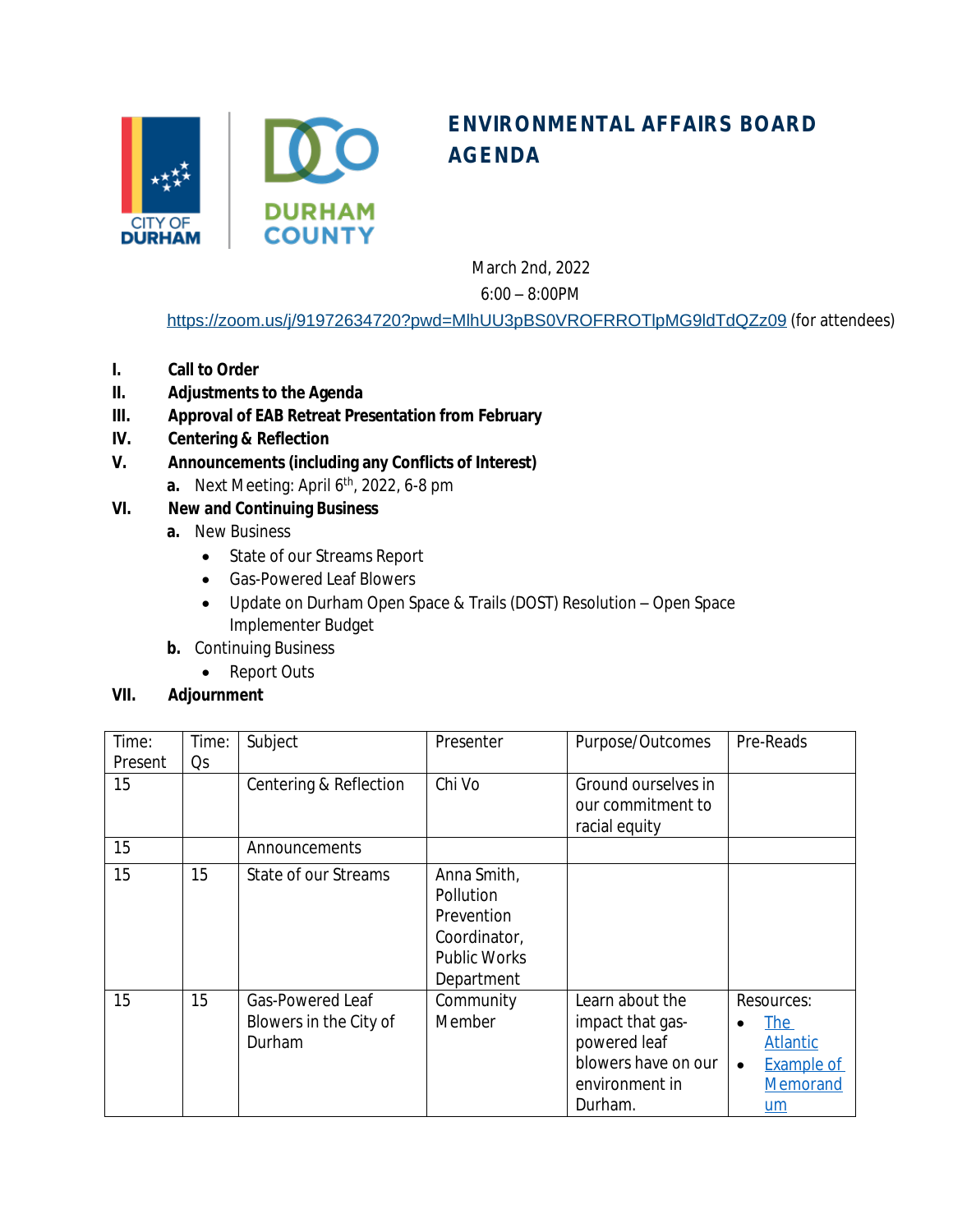

## **ENVIRONMENTAL AFFAIRS BOARD AGENDA**

March 2nd, 2022

6:00 – 8:00PM

<https://zoom.us/j/91972634720?pwd=MlhUU3pBS0VROFRROTlpMG9ldTdQZz09> (for attendees)

- **I. Call to Order**
- **II. Adjustments to the Agenda**
- **III. Approval of EAB Retreat Presentation from February**
- **IV. Centering & Reflection**
- **V. Announcements (including any Conflicts of Interest)**
	- **a.** Next Meeting: April 6th, 2022, 6-8 pm
- **VI. New and Continuing Business**
	- **a.** New Business
		- State of our Streams Report
		- Gas-Powered Leaf Blowers
		- Update on Durham Open Space & Trails (DOST) Resolution Open Space Implementer Budget
	- **b.** Continuing Business
		- Report Outs

## **VII. Adjournment**

| Time:   | Time: | Subject                | Presenter           | Purpose/Outcomes    | Pre-Reads                      |
|---------|-------|------------------------|---------------------|---------------------|--------------------------------|
| Present | Qs    |                        |                     |                     |                                |
| 15      |       | Centering & Reflection | Chi Vo              | Ground ourselves in |                                |
|         |       |                        |                     | our commitment to   |                                |
|         |       |                        |                     | racial equity       |                                |
| 15      |       | Announcements          |                     |                     |                                |
| 15      | 15    | State of our Streams   | Anna Smith,         |                     |                                |
|         |       |                        | Pollution           |                     |                                |
|         |       |                        | Prevention          |                     |                                |
|         |       |                        | Coordinator,        |                     |                                |
|         |       |                        | <b>Public Works</b> |                     |                                |
|         |       |                        | Department          |                     |                                |
| 15      | 15    | Gas-Powered Leaf       | Community           | Learn about the     | Resources:                     |
|         |       | Blowers in the City of | Member              | impact that gas-    | <u>The</u>                     |
|         |       | Durham                 |                     | powered leaf        | <b>Atlantic</b>                |
|         |       |                        |                     | blowers have on our | <b>Example of</b><br>$\bullet$ |
|         |       |                        |                     | environment in      | Memorand                       |
|         |       |                        |                     | Durham.             | um                             |